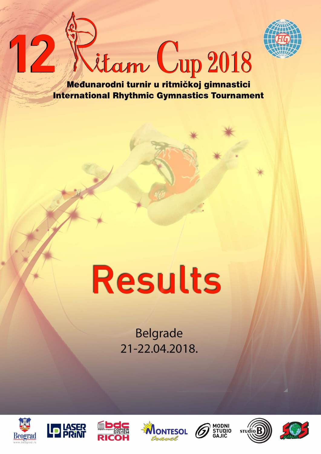

Litam Cup 2018

Međunarodni turnir u ritmičkoj gimnastici **International Rhythmic Gymnastics Tournament** 

# **Results**

**Belgrade** 21-22.04.2018.



12











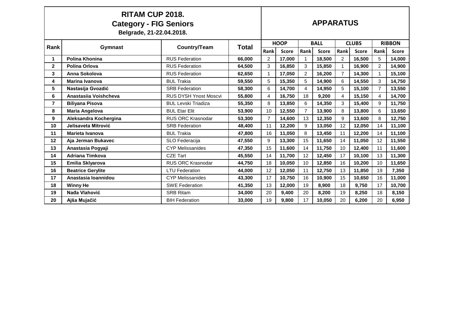|                | <b>RITAM CUP 2018.</b><br><b>Category - FIG Seniors</b><br>Belgrade, 21-22.04.2018. |                              |              |                | <b>APPARATUS</b> |                |              |                |              |                |               |  |  |
|----------------|-------------------------------------------------------------------------------------|------------------------------|--------------|----------------|------------------|----------------|--------------|----------------|--------------|----------------|---------------|--|--|
| Rank           | Gymnast                                                                             | Country/Team                 | <b>Total</b> |                | <b>HOOP</b>      |                | <b>BALL</b>  |                | <b>CLUBS</b> |                | <b>RIBBON</b> |  |  |
|                |                                                                                     |                              |              | Rank           | <b>Score</b>     | Rank           | <b>Score</b> | Rank           | <b>Score</b> | Rank           | <b>Score</b>  |  |  |
| 1              | Polina Khonina                                                                      | <b>RUS Federation</b>        | 66,000       | $\overline{2}$ | 17,000           | 1              | 18,500       | $\overline{2}$ | 16,500       | 5              | 14,000        |  |  |
| $\mathbf{2}$   | <b>Polina Orlova</b>                                                                | <b>RUS Federation</b>        | 64,500       | 3              | 16,850           | 3              | 15,850       |                | 16,900       | $\mathfrak{p}$ | 14,900        |  |  |
| 3              | Anna Sokolova                                                                       | <b>RUS Federation</b>        | 62,650       | $\mathbf{1}$   | 17,050           | $\overline{2}$ | 16,200       | $\overline{7}$ | 14,300       |                | 15,100        |  |  |
| 4              | <b>Marina Ivanova</b>                                                               | <b>BUL Trakia</b>            | 59,550       | 5              | 15,350           | 5              | 14,900       | 6              | 14,550       | 3              | 14,750        |  |  |
| 5              | Nastasija Gvozdić                                                                   | <b>SRB Federation</b>        | 58,300       | 6              | 14,700           | 4              | 14,950       | 5              | 15,100       | $\overline{7}$ | 13,550        |  |  |
| 6              | Anastasiia Voishcheva                                                               | <b>RUS DYSH Ynost Moscvi</b> | 55,800       | 4              | 16,750           | 18             | 9,200        | 4              | 15,150       | 4              | 14,700        |  |  |
| $\overline{7}$ | <b>Biliyana Pisova</b>                                                              | <b>BUL Levski Triadiza</b>   | 55,350       | 8              | 13,850           | 6              | 14,350       | 3              | 15,400       | 9              | 11,750        |  |  |
| 8              | <b>Maria Angelova</b>                                                               | <b>BUL Etar Elit</b>         | 53,900       | 10             | 12,550           | $\overline{7}$ | 13,900       | 8              | 13,800       | 6              | 13,650        |  |  |
| 9              | Aleksandra Kochergina                                                               | <b>RUS ORC Krasnodar</b>     | 53,300       | $\overline{7}$ | 14,600           | 13             | 12,350       | 9              | 13,600       | 8              | 12,750        |  |  |
| 10             | Jelisaveta Mitrović                                                                 | <b>SRB Federation</b>        | 48,400       | 11             | 12,200           | 9              | 13,050       | 12             | 12,050       | 14             | 11,100        |  |  |
| 11             | Marieta Ivanova                                                                     | <b>BUL Trakia</b>            | 47,800       | 16             | 11,050           | 8              | 13,450       | 11             | 12,200       | 14             | 11,100        |  |  |
| 12             | Aja Jerman Bukavec                                                                  | <b>SLO Federacija</b>        | 47,550       | 9              | 13,300           | 15             | 11.650       | 14             | 11,050       | 12             | 11,550        |  |  |
| 13             | Anastasia Pogyaji                                                                   | <b>CYP Melissanides</b>      | 47,350       | 15             | 11,600           | 14             | 11,750       | 10             | 12,400       | 11             | 11,600        |  |  |
| 14             | <b>Adriana Timkova</b>                                                              | <b>CZE Tart</b>              | 45,550       | 14             | 11,700           | 12             | 12,450       | 17             | 10,100       | 13             | 11,300        |  |  |
| 15             | Emilia Sklyarova                                                                    | <b>RUS ORC Krasnodar</b>     | 44.750       | 18             | 10,050           | 10             | 12,850       | 16             | 10,200       | 10             | 11,650        |  |  |
| 16             | <b>Beatrice Gerylite</b>                                                            | <b>LTU Federation</b>        | 44,000       | 12             | 12,050           | 11             | 12,750       | 13             | 11,850       | 19             | 7,350         |  |  |
| 17             | Anastasia Ioannidou                                                                 | <b>CYP Melissanides</b>      | 43,300       | 17             | 10,750           | 16             | 10,900       | 15             | 10,650       | 16             | 11,000        |  |  |
| 18             | <b>Winny He</b>                                                                     | <b>SWE Federation</b>        | 41,350       | 13             | 12,000           | 19             | 8,900        | 18             | 9,750        | 17             | 10,700        |  |  |
| 19             | Nađa Vlahović                                                                       | <b>SRB Ritam</b>             | 34,000       | 20             | 9,400            | 20             | 8,200        | 19             | 8,250        | 18             | 8,150         |  |  |
| 20             | Ajša Mujačić                                                                        | <b>BIH Federation</b>        | 33,000       | 19             | 9,800            | 17             | 10,050       | 20             | 6,200        | 20             | 6,950         |  |  |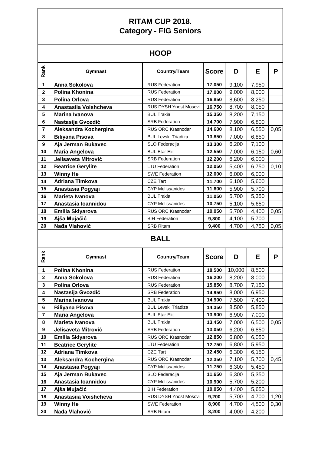# **HOOP**

| Rank           | Gymnast                  | Country/Team                 | <b>Score</b> | D     | E     | P    |
|----------------|--------------------------|------------------------------|--------------|-------|-------|------|
| 1              | Anna Sokolova            | <b>RUS Federation</b>        | 17,050       | 9,100 | 7,950 |      |
| 2              | Polina Khonina           | <b>RUS Federation</b>        | 17,000       | 9,000 | 8,000 |      |
| 3              | Polina Orlova            | <b>RUS Federation</b>        | 16,850       | 8,600 | 8,250 |      |
| 4              | Anastasiia Voishcheva    | <b>RUS DYSH Ynost Moscvi</b> | 16,750       | 8,700 | 8,050 |      |
| 5              | Marina Ivanova           | <b>BUL Trakia</b>            | 15,350       | 8,200 | 7,150 |      |
| 6              | Nastasija Gvozdić        | <b>SRB Federation</b>        | 14,700       | 7,900 | 6,800 |      |
| $\overline{7}$ | Aleksandra Kochergina    | RUS ORC Krasnodar            | 14,600       | 8,100 | 6,550 | 0,05 |
| 8              | <b>Biliyana Pisova</b>   | <b>BUL Levski Triadiza</b>   | 13,850       | 7,000 | 6,850 |      |
| 9              | Aja Jerman Bukavec       | SLO Federacija               | 13,300       | 6,200 | 7,100 |      |
| 10             | <b>Maria Angelova</b>    | <b>BUL Etar Elit</b>         | 12,550       | 7,000 | 6,150 | 0,60 |
| 11             | Jelisaveta Mitrović      | <b>SRB Federation</b>        | 12,200       | 6,200 | 6,000 |      |
| 12             | <b>Beatrice Gerylite</b> | <b>LTU Federation</b>        | 12,050       | 5,400 | 6,750 | 0,10 |
| 13             | <b>Winny He</b>          | <b>SWE Federation</b>        | 12,000       | 6,000 | 6,000 |      |
| 14             | <b>Adriana Timkova</b>   | <b>CZE Tart</b>              | 11,700       | 6,100 | 5,600 |      |
| 15             | Anastasia Pogyaji        | <b>CYP Melissanides</b>      | 11,600       | 5,900 | 5,700 |      |
| 16             | Marieta Ivanova          | <b>BUL Trakia</b>            | 11,050       | 5,700 | 5,350 |      |
| 17             | Anastasia Ioannidou      | <b>CYP Melissanides</b>      | 10,750       | 5,100 | 5,650 |      |
| 18             | Emilia Sklyarova         | <b>RUS ORC Krasnodar</b>     | 10,050       | 5,700 | 4,400 | 0,05 |
| 19             | Ajša Mujačić             | <b>BIH Federation</b>        | 9,800        | 4,100 | 5,700 |      |
| 20             | Nađa Vlahović            | <b>SRB Ritam</b>             | 9,400        | 4,700 | 4,750 | 0,05 |

## **BALL**

| Rank         | <b>Gymnast</b>           | Country/Team                 | <b>Score</b> | D      | Е     | Р    |
|--------------|--------------------------|------------------------------|--------------|--------|-------|------|
| 1            | Polina Khonina           | <b>RUS Federation</b>        | 18,500       | 10,000 | 8,500 |      |
| $\mathbf{2}$ | Anna Sokolova            | <b>RUS Federation</b>        | 16,200       | 8,200  | 8,000 |      |
| 3            | Polina Orlova            | <b>RUS Federation</b>        | 15,850       | 8,700  | 7,150 |      |
| 4            | Nastasija Gvozdić        | <b>SRB Federation</b>        | 14,950       | 8,000  | 6,950 |      |
| 5            | <b>Marina Ivanova</b>    | <b>BUL Trakia</b>            | 14,900       | 7,500  | 7,400 |      |
| 6            | <b>Biliyana Pisova</b>   | <b>BUL Levski Triadiza</b>   | 14,350       | 8,500  | 5,850 |      |
| 7            | <b>Maria Angelova</b>    | <b>BUL Etar Elit</b>         | 13,900       | 6,900  | 7,000 |      |
| 8            | Marieta Ivanova          | <b>BUL Trakia</b>            | 13,450       | 7,000  | 6,500 | 0,05 |
| 9            | Jelisaveta Mitrović      | <b>SRB Federation</b>        | 13,050       | 6,200  | 6,850 |      |
| 10           | Emilia Sklyarova         | RUS ORC Krasnodar            | 12,850       | 6,800  | 6,050 |      |
| 11           | <b>Beatrice Gerylite</b> | <b>LTU Federation</b>        | 12,750       | 6,800  | 5,950 |      |
| 12           | <b>Adriana Timkova</b>   | <b>CZE Tart</b>              | 12,450       | 6,300  | 6,150 |      |
| 13           | Aleksandra Kochergina    | RUS ORC Krasnodar            | 12,350       | 7,100  | 5,700 | 0,45 |
| 14           | Anastasia Pogyaji        | <b>CYP Melissanides</b>      | 11,750       | 6,300  | 5,450 |      |
| 15           | Aja Jerman Bukavec       | SLO Federacija               | 11,650       | 6,300  | 5,350 |      |
| 16           | Anastasia Ioannidou      | <b>CYP Melissanides</b>      | 10,900       | 5,700  | 5,200 |      |
| 17           | Ajša Mujačić             | <b>BIH Federation</b>        | 10,050       | 4,400  | 5,650 |      |
| 18           | Anastasiia Voishcheva    | <b>RUS DYSH Ynost Moscvi</b> | 9,200        | 5,700  | 4,700 | 1,20 |
| 19           | <b>Winny He</b>          | <b>SWE Federation</b>        | 8,900        | 4,700  | 4,500 | 0,30 |
| 20           | Nađa Vlahović            | <b>SRB Ritam</b>             | 8,200        | 4,000  | 4,200 |      |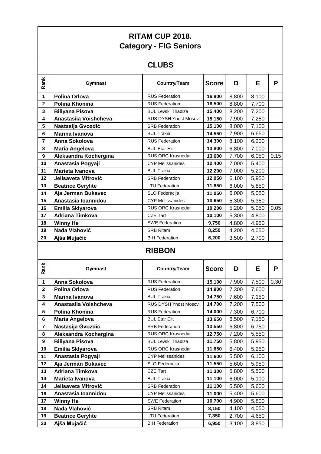|                         |                          | <b>RITAM CUP 2018.</b><br><b>Category - FIG Seniors</b> |              |       |       |      |
|-------------------------|--------------------------|---------------------------------------------------------|--------------|-------|-------|------|
|                         |                          | <b>CLUBS</b>                                            |              |       |       |      |
| Rank                    | Gymnast                  | Country/Team                                            | <b>Score</b> | D     | E     | P    |
| 1                       | Polina Orlova            | <b>RUS Federation</b>                                   | 16,900       | 8,800 | 8,100 |      |
| $\mathbf 2$             | Polina Khonina           | <b>RUS Federation</b>                                   | 16,500       | 8,800 | 7,700 |      |
| 3                       | <b>Biliyana Pisova</b>   | <b>BUL Levski Triadiza</b>                              | 15,400       | 8,200 | 7,200 |      |
| 4                       | Anastasiia Voishcheva    | <b>RUS DYSH Ynost Moscvi</b>                            | 15,150       | 7,900 | 7,250 |      |
| 5                       | Nastasija Gvozdić        | <b>SRB Federation</b>                                   | 15,100       | 8,000 | 7,100 |      |
| 6                       | Marina Ivanova           | <b>BUL Trakia</b>                                       | 14,550       | 7,900 | 6,650 |      |
| 7                       | Anna Sokolova            | <b>RUS Federation</b>                                   | 14,300       | 8,100 | 6,200 |      |
| 8                       | <b>Maria Angelova</b>    | <b>BUL Etar Elit</b>                                    | 13,800       | 6,800 | 7,000 |      |
| $\boldsymbol{9}$        | Aleksandra Kochergina    | RUS ORC Krasnodar                                       | 13,600       | 7,700 | 6,050 | 0,15 |
| 10                      | Anastasia Pogyaji        | <b>CYP Melissanides</b>                                 | 12,400       | 7,000 | 5,400 |      |
| 11                      | Marieta Ivanova          | <b>BUL Trakia</b>                                       | 12,200       | 7,000 | 5,200 |      |
| 12                      | Jelisaveta Mitrović      | <b>SRB Federation</b>                                   | 12,050       | 6,100 | 5,950 |      |
| 13                      | <b>Beatrice Gerylite</b> | <b>LTU Federation</b>                                   | 11,850       | 6,000 | 5,850 |      |
| 14                      | Aja Jerman Bukavec       | SLO Federacija                                          | 11,050       | 6,000 | 5,050 |      |
| 15                      | Anastasia Ioannidou      | <b>CYP Melissanides</b>                                 | 10,650       | 5,300 | 5,350 |      |
| 16                      | Emilia Sklyarova         | <b>RUS ORC Krasnodar</b>                                | 10,200       | 5,200 | 5,050 | 0,05 |
| 17                      | <b>Adriana Timkova</b>   | <b>CZE Tart</b>                                         | 10,100       | 5,300 | 4,800 |      |
| 18                      | <b>Winny He</b>          | <b>SWE Federation</b>                                   | 9,750        | 4,800 | 4,950 |      |
| 19                      | Nađa Vlahović            | <b>SRB Ritam</b>                                        | 8,250        | 4,200 | 4,050 |      |
| 20                      | Ajša Mujačić             | <b>BIH Federation</b>                                   | 6,200        | 3,500 | 2,700 |      |
|                         |                          | <b>RIBBON</b>                                           |              |       |       |      |
| Rank                    | Gymnast                  | Country/Team                                            | <b>Score</b> | D     | E     | P    |
| 1                       | Anna Sokolova            | <b>RUS Federation</b>                                   | 15,100       | 7,900 | 7,500 | 0,30 |
| $\overline{\mathbf{2}}$ | Polina Orlova            | <b>RUS Federation</b>                                   | 14,900       | 7,300 | 7,600 |      |
| 3                       | <b>Marina Ivanova</b>    | <b>BUL Trakia</b>                                       | 14,750       | 7,600 | 7,150 |      |
| 4                       | Anastasiia Voishcheva    | RUS DYSH Ynost Moscvi                                   | 14,700       | 7,200 | 7,500 |      |
| 5                       | Polina Khonina           | <b>RUS Federation</b>                                   | 14,000       | 7,300 | 6,700 |      |
| 6                       | Maria Angelova           | <b>BUL Etar Elit</b>                                    | 13,650       | 6,500 | 7,150 |      |
| 7                       | Nastasija Gvozdić        | <b>SRB Federation</b>                                   | 13,550       | 6,800 | 6,750 |      |
| 8                       | Aleksandra Kochergina    | RUS ORC Krasnodar                                       | 12,750       | 7,200 | 5,550 |      |
| 9                       | <b>Biliyana Pisova</b>   | <b>BUL Levski Triadiza</b>                              | 11,750       | 5,800 | 5,950 |      |
| 10                      | Emilia Sklyarova         | RUS ORC Krasnodar                                       | 11,650       | 6,400 | 5,250 |      |
| 11                      | Anastasia Pogyaji        | <b>CYP Melissanides</b>                                 | 11,600       | 5,500 | 6,100 |      |
| 12                      | Aja Jerman Bukavec       | SLO Federacija                                          | 11,550       | 5,600 | 5,950 |      |
| 13                      | Adriana Timkova          | CZE Tart                                                | 11,300       | 5,800 | 5,500 |      |
| 14                      | Marieta Ivanova          | <b>BUL Trakia</b>                                       | 11,100       | 6,000 | 5,100 |      |
| 14                      | Jelisaveta Mitrović      | <b>SRB Federation</b>                                   | 11,100       | 5,500 | 5,600 |      |
| 16                      | Anastasia Ioannidou      | <b>CYP Melissanides</b>                                 | 11,000       | 5,400 | 5,600 |      |
| 17                      | <b>Winny He</b>          | <b>SWE Federation</b>                                   | 10,700       | 4,900 | 5,800 |      |
|                         |                          |                                                         |              |       |       |      |
| 18                      | Nađa Vlahović            | <b>SRB Ritam</b>                                        | 8,150        | 4,100 | 4,050 |      |
| 19                      | <b>Beatrice Gerylite</b> | <b>LTU Federation</b>                                   | 7,350        | 2,700 | 4,650 |      |

 $\Gamma$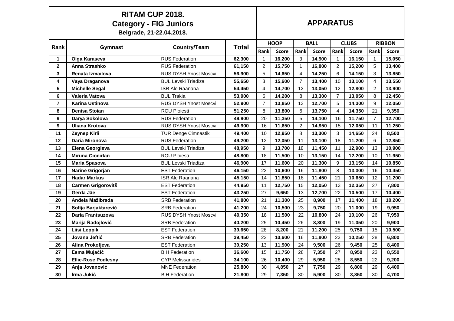|              | <b>RITAM CUP 2018.</b><br><b>Category - FIG Juniors</b><br>Belgrade, 21-22.04.2018. |                              |              |                |              |                | <b>APPARATUS</b> |                |              |                |               |
|--------------|-------------------------------------------------------------------------------------|------------------------------|--------------|----------------|--------------|----------------|------------------|----------------|--------------|----------------|---------------|
|              |                                                                                     |                              |              |                | <b>HOOP</b>  |                | <b>BALL</b>      |                | <b>CLUBS</b> |                | <b>RIBBON</b> |
| Rank         | Gymnast                                                                             | <b>Country/Team</b>          | <b>Total</b> | Rank           | <b>Score</b> | Rank           | <b>Score</b>     | Rank           | <b>Score</b> | Rank           | <b>Score</b>  |
| 1            | Olga Karaseva                                                                       | <b>RUS Federation</b>        | 62,300       | $\mathbf{1}$   | 16,200       | 3              | 14,900           | $\mathbf{1}$   | 16,150       | 1              | 15,050        |
| $\mathbf{2}$ | Anna Strashko                                                                       | <b>RUS Federation</b>        | 61,150       | 2              | 15,750       | $\mathbf{1}$   | 16,800           | $\overline{a}$ | 15,200       | 5              | 13,400        |
| 3            | Renata Izmailova                                                                    | <b>RUS DYSH Ynost Moscvi</b> | 56,900       | 5              | 14,650       | 4              | 14,250           | 6              | 14,150       | 3              | 13,850        |
| 4            | Vaya Draganova                                                                      | <b>BUL Levski Triadiza</b>   | 55,650       | 3              | 15,600       | $\overline{7}$ | 13,400           | 10             | 13,100       | 4              | 13,550        |
| 5            | <b>Michelle Segal</b>                                                               | <b>ISR Ale Raanana</b>       | 54,450       | 4              | 14,700       | 12             | 13,050           | 12             | 12,800       | $\overline{2}$ | 13,900        |
| 6            | Valeria Vatova                                                                      | <b>BUL Trakia</b>            | 53,900       | 6              | 14,200       | 8              | 13,300           | $\overline{7}$ | 13,950       | 8              | 12,450        |
| 7            | <b>Karina Ustinova</b>                                                              | <b>RUS DYSH Ynost Moscvi</b> | 52,900       | $\overline{7}$ | 13,850       | 13             | 12,700           | 5              | 14,300       | 9              | 12,050        |
| 8            | <b>Denisa Stoian</b>                                                                | <b>ROU Ploiesti</b>          | 51,250       | 8              | 13,800       | 6              | 13,750           | 4              | 14,350       | 21             | 9,350         |
| 9            | Darya Sokolova                                                                      | <b>RUS Federation</b>        | 49,900       | 20             | 11,350       | 5              | 14,100           | 16             | 11,750       | $\overline{7}$ | 12,700        |
| 9            | <b>Uliana Krotova</b>                                                               | RUS DYSH Ynost Moscvi        | 49,900       | 16             | 11,650       | $\overline{2}$ | 14,950           | 15             | 12,050       | 11             | 11,250        |
| 11           | Zeynep Kirli                                                                        | <b>TUR Denge Cimnastik</b>   | 49,400       | 10             | 12,950       | 8              | 13,300           | 3              | 14,650       | 24             | 8,500         |
| 12           | Daria Mironova                                                                      | <b>RUS Federation</b>        | 49,200       | 12             | 12,050       | 11             | 13,100           | 18             | 11,200       | 6              | 12,850        |
| 13           | Elena Georgieva                                                                     | <b>BUL Levski Triadiza</b>   | 48.950       | 9              | 13,700       | 18             | 11,450           | 11             | 12,900       | 13             | 10,900        |
| 14           | <b>Miruna Ciocirlan</b>                                                             | <b>ROU Ploiesti</b>          | 48,800       | 18             | 11,500       | 10             | 13,150           | 14             | 12,200       | 10             | 11,950        |
| 15           | Maria Spasova                                                                       | <b>BUL Levski Triadiza</b>   | 46,900       | 17             | 11,600       | 20             | 11,300           | 9              | 13,150       | 14             | 10,850        |
| 16           | Narine Grigorjan                                                                    | <b>EST Federation</b>        | 46,150       | 22             | 10,600       | 16             | 11,800           | 8              | 13,300       | 16             | 10,450        |
| 17           | <b>Hadar Markus</b>                                                                 | <b>ISR Ale Raanana</b>       | 45,150       | 14             | 11,850       | 18             | 11,450           | 21             | 10,650       | 12             | 11,200        |
| 18           | <b>Carmen Grigorovitš</b>                                                           | <b>EST Federation</b>        | 44,950       | 11             | 12,750       | 15             | 12,050           | 13             | 12,350       | 27             | 7,800         |
| 19           | Gerda Jäe                                                                           | <b>EST Federation</b>        | 43,250       | 27             | 9,650        | 13             | 12,700           | 22             | 10,500       | 17             | 10,400        |
| 20           | Anđela Mažibrada                                                                    | <b>SRB Federation</b>        | 41,800       | 21             | 11,300       | 25             | 8,900            | 17             | 11,400       | 18             | 10,200        |
| 21           | Sofija Barjaktarević                                                                | <b>SRB Federation</b>        | 41,200       | 24             | 10,500       | 23             | 9,750            | 20             | 11,000       | 19             | 9,950         |
| 22           | Daria Frantsuzova                                                                   | RUS DYSH Ynost Moscvi        | 40.350       | 18             | 11,500       | 22             | 10,800           | 24             | 10,100       | 26             | 7,950         |
| 23           | Marija Radojlović                                                                   | <b>SRB Federation</b>        | 40,200       | 25             | 10,450       | 26             | 8,800            | 19             | 11,050       | 20             | 9,900         |
| 24           | Liisi Leppik                                                                        | <b>EST Federation</b>        | 39,650       | 28             | 8,200        | 21             | 11,200           | 25             | 9,750        | 15             | 10,500        |
| 25           | Jovana Jeftić                                                                       | <b>SRB Federation</b>        | 39,450       | 22             | 10,600       | 16             | 11,800           | 23             | 10,250       | 28             | 6,800         |
| 26           | Alina Prokofjeva                                                                    | <b>EST Federation</b>        | 39,250       | 13             | 11,900       | 24             | 9,500            | 26             | 9,450        | 25             | 8,400         |
| 27           | Esma Mujačić                                                                        | <b>BIH Federation</b>        | 36,600       | 15             | 11,750       | 28             | 7,350            | 27             | 8,950        | 23             | 8,550         |
| 28           | <b>Ellie-Rose Podlesny</b>                                                          | <b>CYP Melissanides</b>      | 34,100       | 26             | 10,400       | 29             | 5,950            | 28             | 8,550        | 22             | 9,200         |
| 29           | Anja Jovanović                                                                      | <b>MNE Federation</b>        | 25,800       | 30             | 4,850        | 27             | 7,750            | 29             | 6,800        | 29             | 6,400         |
| 30           | Irma Jukić                                                                          | <b>BIH Federation</b>        | 21,800       | 29             | 7,350        | 30             | 5,900            | 30             | 3,850        | 30             | 4,700         |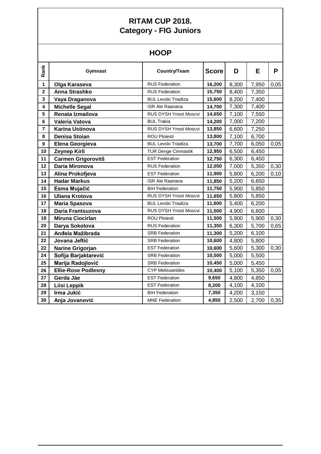# **HOOP**

| Rank                    | Gymnast                    | Country/Team                 | <b>Score</b> | D     | E     | P    |
|-------------------------|----------------------------|------------------------------|--------------|-------|-------|------|
| $\mathbf{1}$            | Olga Karaseva              | <b>RUS Federation</b>        | 16,200       | 8,300 | 7,950 | 0,05 |
| $\overline{\mathbf{2}}$ | <b>Anna Strashko</b>       | <b>RUS Federation</b>        | 15,750       | 8,400 | 7,350 |      |
| $\overline{\mathbf{3}}$ | Vaya Draganova             | <b>BUL Levski Triadiza</b>   | 15,600       | 8,200 | 7,400 |      |
| 4                       | <b>Michelle Segal</b>      | <b>ISR Ale Raanana</b>       | 14,700       | 7,300 | 7,400 |      |
| 5                       | Renata Izmailova           | RUS DYSH Ynost Moscvi        | 14,650       | 7,100 | 7,550 |      |
| 6                       | Valeria Vatova             | <b>BUL Trakia</b>            | 14,200       | 7,000 | 7,200 |      |
| $\overline{7}$          | <b>Karina Ustinova</b>     | RUS DYSH Ynost Moscvi        | 13,850       | 6,600 | 7,250 |      |
| 8                       | Denisa Stoian              | <b>ROU Ploiesti</b>          | 13,800       | 7,100 | 6,700 |      |
| $\boldsymbol{9}$        | Elena Georgieva            | <b>BUL Levski Triadiza</b>   | 13,700       | 7,700 | 6,050 | 0,05 |
| 10                      | Zeynep Kirli               | <b>TUR Denge Cimnastik</b>   | 12,950       | 6,500 | 6,450 |      |
| 11                      | <b>Carmen Grigorovitš</b>  | <b>EST Federation</b>        | 12,750       | 6,300 | 6,450 |      |
| 12                      | Daria Mironova             | <b>RUS Federation</b>        | 12,050       | 7,000 | 5,350 | 0,30 |
| 13                      | Alina Prokofjeva           | <b>EST Federation</b>        | 11,900       | 5,800 | 6,200 | 0,10 |
| 14                      | <b>Hadar Markus</b>        | <b>ISR Ale Raanana</b>       | 11,850       | 5,200 | 6,650 |      |
| 15                      | Esma Mujačić               | <b>BIH Federation</b>        | 11,750       | 5,900 | 5,850 |      |
| 16                      | <b>Uliana Krotova</b>      | <b>RUS DYSH Ynost Moscvi</b> | 11,650       | 5,800 | 5,850 |      |
| 17                      | <b>Maria Spasova</b>       | <b>BUL Levski Triadiza</b>   | 11,600       | 5,400 | 6,200 |      |
| 18                      | Daria Frantsuzova          | RUS DYSH Ynost Moscvi        | 11,500       | 4,900 | 6,600 |      |
| 18                      | <b>Miruna Ciocirlan</b>    | <b>ROU Ploiesti</b>          | 11,500       | 5,900 | 5,900 | 0,30 |
| 20                      | Darya Sokolova             | <b>RUS Federation</b>        | 11,350       | 6,300 | 5,700 | 0,65 |
| 21                      | Anđela Mažibrada           | <b>SRB Federation</b>        | 11,300       | 5,200 | 6,100 |      |
| 22                      | Jovana Jeftić              | <b>SRB Federation</b>        | 10,600       | 4,800 | 5,800 |      |
| 22                      | Narine Grigorjan           | <b>EST Federation</b>        | 10,600       | 5,600 | 5,300 | 0,30 |
| 24                      | Sofija Barjaktarević       | <b>SRB Federation</b>        | 10,500       | 5,000 | 5,500 |      |
| 25                      | Marija Radojlović          | <b>SRB Federation</b>        | 10,450       | 5,000 | 5,450 |      |
| 26                      | <b>Ellie-Rose Podlesny</b> | <b>CYP Melissanides</b>      | 10,400       | 5,100 | 5,350 | 0,05 |
| 27                      | Gerda Jäe                  | <b>EST Federation</b>        | 9,650        | 4,800 | 4,850 |      |
| 28                      | Liisi Leppik               | <b>EST Federation</b>        | 8,200        | 4,100 | 4,100 |      |
| 29                      | Irma Jukić                 | <b>BIH Federation</b>        | 7,350        | 4,200 | 3,150 |      |
| 30                      | Anja Jovanović             | <b>MNE</b> Federation        | 4,850        | 2,500 | 2,700 | 0,35 |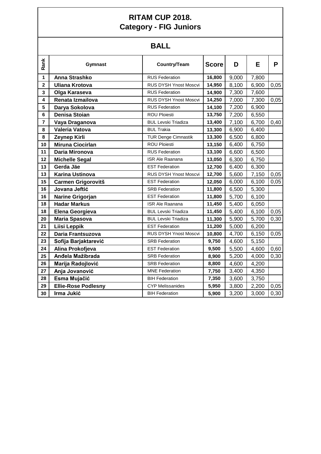# **BALL**

| Rank                    | <b>Gymnast</b>             | Country/Team                 | <b>Score</b> | D     | Е     | P    |
|-------------------------|----------------------------|------------------------------|--------------|-------|-------|------|
| $\mathbf{1}$            | Anna Strashko              | <b>RUS Federation</b>        | 16,800       | 9,000 | 7,800 |      |
| $\overline{\mathbf{2}}$ | <b>Uliana Krotova</b>      | RUS DYSH Ynost Moscvi        | 14,950       | 8,100 | 6,900 | 0,05 |
| $\overline{\mathbf{3}}$ | Olga Karaseva              | <b>RUS Federation</b>        | 14,900       | 7,300 | 7,600 |      |
| 4                       | Renata Izmailova           | <b>RUS DYSH Ynost Moscvi</b> | 14,250       | 7,000 | 7,300 | 0,05 |
| 5                       | Darya Sokolova             | <b>RUS Federation</b>        | 14,100       | 7,200 | 6,900 |      |
| 6                       | <b>Denisa Stoian</b>       | <b>ROU Ploiesti</b>          | 13,750       | 7,200 | 6,550 |      |
| $\overline{7}$          | Vaya Draganova             | <b>BUL Levski Triadiza</b>   | 13,400       | 7,100 | 6,700 | 0,40 |
| 8                       | Valeria Vatova             | <b>BUL Trakia</b>            | 13,300       | 6,900 | 6,400 |      |
| 8                       | Zeynep Kirli               | <b>TUR Denge Cimnastik</b>   | 13,300       | 6,500 | 6,800 |      |
| 10                      | <b>Miruna Ciocirlan</b>    | <b>ROU Ploiesti</b>          | 13,150       | 6,400 | 6,750 |      |
| 11                      | Daria Mironova             | <b>RUS Federation</b>        | 13,100       | 6,600 | 6,500 |      |
| 12                      | <b>Michelle Segal</b>      | <b>ISR Ale Raanana</b>       | 13,050       | 6,300 | 6,750 |      |
| 13                      | Gerda Jäe                  | <b>EST Federation</b>        | 12,700       | 6,400 | 6,300 |      |
| 13                      | <b>Karina Ustinova</b>     | RUS DYSH Ynost Moscvi        | 12,700       | 5,600 | 7,150 | 0,05 |
| 15                      | <b>Carmen Grigorovitš</b>  | <b>EST Federation</b>        | 12,050       | 6,000 | 6,100 | 0,05 |
| 16                      | Jovana Jeftić              | <b>SRB Federation</b>        | 11,800       | 6,500 | 5,300 |      |
| 16                      | Narine Grigorjan           | <b>EST Federation</b>        | 11,800       | 5,700 | 6,100 |      |
| 18                      | <b>Hadar Markus</b>        | <b>ISR Ale Raanana</b>       | 11,450       | 5,400 | 6,050 |      |
| 18                      | Elena Georgieva            | <b>BUL Levski Triadiza</b>   | 11,450       | 5,400 | 6,100 | 0,05 |
| 20                      | <b>Maria Spasova</b>       | <b>BUL Levski Triadiza</b>   | 11,300       | 5,900 | 5,700 | 0,30 |
| 21                      | <b>Liisi Leppik</b>        | <b>EST Federation</b>        | 11,200       | 5,000 | 6,200 |      |
| 22                      | Daria Frantsuzova          | RUS DYSH Ynost Moscvi        | 10,800       | 4,700 | 6,150 | 0,05 |
| 23                      | Sofija Barjaktarević       | <b>SRB Federation</b>        | 9,750        | 4,600 | 5,150 |      |
| 24                      | Alina Prokofjeva           | <b>EST Federation</b>        | 9,500        | 5,500 | 4,600 | 0,60 |
| 25                      | Anđela Mažibrada           | <b>SRB Federation</b>        | 8,900        | 5,200 | 4,000 | 0,30 |
| 26                      | Marija Radojlović          | <b>SRB Federation</b>        | 8,800        | 4,600 | 4,200 |      |
| 27                      | Anja Jovanović             | <b>MNE Federation</b>        | 7,750        | 3,400 | 4,350 |      |
| 28                      | Esma Mujačić               | <b>BIH Federation</b>        | 7,350        | 3,600 | 3,750 |      |
| 29                      | <b>Ellie-Rose Podlesny</b> | <b>CYP Melissanides</b>      | 5,950        | 3,800 | 2,200 | 0,05 |
| 30                      | Irma Jukić                 | <b>BIH Federation</b>        | 5,900        | 3,200 | 3,000 | 0,30 |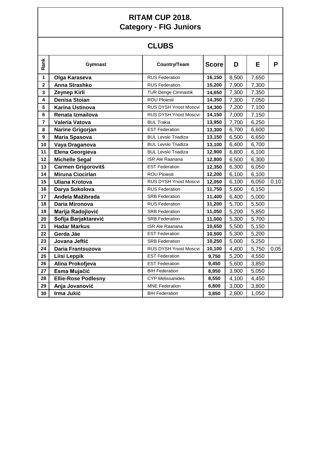# **CLUBS**

| Rank                    | Gymnast                    | Country/Team                 | <b>Score</b> | D     | E     | P    |
|-------------------------|----------------------------|------------------------------|--------------|-------|-------|------|
| $\mathbf{1}$            | Olga Karaseva              | <b>RUS Federation</b>        | 16,150       | 8,500 | 7,650 |      |
| $\overline{\mathbf{2}}$ | <b>Anna Strashko</b>       | <b>RUS Federation</b>        | 15,200       | 7,900 | 7,300 |      |
| 3                       | Zeynep Kirli               | <b>TUR Denge Cimnastik</b>   | 14,650       | 7,300 | 7,350 |      |
| 4                       | <b>Denisa Stoian</b>       | <b>ROU Ploiesti</b>          | 14,350       | 7,300 | 7,050 |      |
| 5                       | <b>Karina Ustinova</b>     | RUS DYSH Ynost Moscvi        | 14,300       | 7,200 | 7,100 |      |
| $6\phantom{1}6$         | Renata Izmailova           | <b>RUS DYSH Ynost Moscvi</b> | 14,150       | 7,000 | 7,150 |      |
| $\overline{\mathbf{r}}$ | Valeria Vatova             | <b>BUL Trakia</b>            | 13,950       | 7,700 | 6,250 |      |
| 8                       | Narine Grigorjan           | <b>EST Federation</b>        | 13,300       | 6,700 | 6,600 |      |
| $\boldsymbol{9}$        | <b>Maria Spasova</b>       | <b>BUL Levski Triadiza</b>   | 13,150       | 6,500 | 6,650 |      |
| 10                      | Vaya Draganova             | <b>BUL Levski Triadiza</b>   | 13,100       | 6,400 | 6,700 |      |
| 11                      | Elena Georgieva            | <b>BUL Levski Triadiza</b>   | 12,900       | 6,800 | 6,100 |      |
| 12                      | <b>Michelle Segal</b>      | <b>ISR Ale Raanana</b>       | 12,800       | 6,500 | 6,300 |      |
| 13                      | <b>Carmen Grigorovitš</b>  | <b>EST Federation</b>        | 12,350       | 6,300 | 6,050 |      |
| 14                      | <b>Miruna Ciocirlan</b>    | <b>ROU Ploiesti</b>          | 12,200       | 6,100 | 6,100 |      |
| 15                      | <b>Uliana Krotova</b>      | RUS DYSH Ynost Moscvi        | 12,050       | 6,100 | 6,050 | 0,10 |
| 16                      | Darya Sokolova             | <b>RUS Federation</b>        | 11,750       | 5,600 | 6,150 |      |
| 17                      | Anđela Mažibrada           | <b>SRB Federation</b>        | 11,400       | 6,400 | 5,000 |      |
| 18                      | Daria Mironova             | <b>RUS Federation</b>        | 11,200       | 5,700 | 5,500 |      |
| 19                      | Marija Radojlović          | <b>SRB Federation</b>        | 11,050       | 5,200 | 5,850 |      |
| 20                      | Sofija Barjaktarević       | <b>SRB Federation</b>        | 11,000       | 5,300 | 5,700 |      |
| 21                      | <b>Hadar Markus</b>        | <b>ISR Ale Raanana</b>       | 10,650       | 5,500 | 5,150 |      |
| 22                      | Gerda Jäe                  | <b>EST Federation</b>        | 10,500       | 5,300 | 5,200 |      |
| 23                      | Jovana Jeftić              | <b>SRB Federation</b>        | 10,250       | 5,000 | 5,250 |      |
| 24                      | Daria Frantsuzova          | <b>RUS DYSH Ynost Moscvi</b> | 10,100       | 4,400 | 5,750 | 0,05 |
| 25                      | Liisi Leppik               | <b>EST Federation</b>        | 9,750        | 5,200 | 4,550 |      |
| 26                      | Alina Prokofjeva           | <b>EST Federation</b>        | 9,450        | 5,600 | 3,850 |      |
| 27                      | Esma Mujačić               | <b>BIH Federation</b>        | 8,950        | 3,900 | 5,050 |      |
| 28                      | <b>Ellie-Rose Podlesny</b> | <b>CYP Melissanides</b>      | 8,550        | 4,100 | 4,450 |      |
| 29                      | Anja Jovanović             | <b>MNE Federation</b>        | 6,800        | 3,000 | 3,800 |      |
| 30                      | Irma Jukić                 | <b>BIH Federation</b>        | 3,850        | 2,800 | 1,050 |      |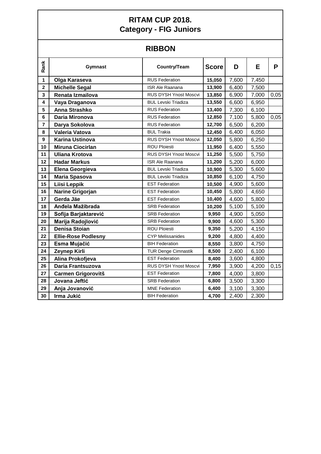## **RIBBON**

| Rank                    | <b>Gymnast</b>             | <b>Country/Team</b>          | <b>Score</b> | D     | E     | P    |
|-------------------------|----------------------------|------------------------------|--------------|-------|-------|------|
| $\mathbf{1}$            | Olga Karaseva              | <b>RUS Federation</b>        | 15,050       | 7,600 | 7,450 |      |
| $\overline{\mathbf{2}}$ | <b>Michelle Segal</b>      | <b>ISR Ale Raanana</b>       | 13,900       | 6,400 | 7,500 |      |
| 3                       | Renata Izmailova           | <b>RUS DYSH Ynost Moscvi</b> | 13,850       | 6,900 | 7,000 | 0,05 |
| 4                       | Vaya Draganova             | <b>BUL Levski Triadiza</b>   | 13,550       | 6,600 | 6,950 |      |
| 5                       | Anna Strashko              | <b>RUS Federation</b>        | 13,400       | 7,300 | 6,100 |      |
| $\bf 6$                 | Daria Mironova             | <b>RUS Federation</b>        | 12,850       | 7,100 | 5,800 | 0,05 |
| $\overline{\mathbf{r}}$ | Darya Sokolova             | <b>RUS Federation</b>        | 12,700       | 6,500 | 6,200 |      |
| 8                       | Valeria Vatova             | <b>BUL Trakia</b>            | 12,450       | 6,400 | 6,050 |      |
| $\boldsymbol{9}$        | <b>Karina Ustinova</b>     | RUS DYSH Ynost Moscvi        | 12,050       | 5,800 | 6,250 |      |
| 10                      | <b>Miruna Ciocirlan</b>    | <b>ROU Ploiesti</b>          | 11,950       | 6,400 | 5,550 |      |
| 11                      | <b>Uliana Krotova</b>      | <b>RUS DYSH Ynost Moscvi</b> | 11,250       | 5,500 | 5,750 |      |
| 12                      | <b>Hadar Markus</b>        | <b>ISR Ale Raanana</b>       | 11,200       | 5,200 | 6,000 |      |
| 13                      | Elena Georgieva            | <b>BUL Levski Triadiza</b>   | 10,900       | 5,300 | 5,600 |      |
| 14                      | <b>Maria Spasova</b>       | <b>BUL Levski Triadiza</b>   | 10,850       | 6,100 | 4,750 |      |
| 15                      | Liisi Leppik               | <b>EST Federation</b>        | 10,500       | 4,900 | 5,600 |      |
| 16                      | Narine Grigorjan           | <b>EST Federation</b>        | 10,450       | 5,800 | 4,650 |      |
| 17                      | Gerda Jäe                  | <b>EST Federation</b>        | 10,400       | 4,600 | 5,800 |      |
| 18                      | Anđela Mažibrada           | <b>SRB Federation</b>        | 10,200       | 5,100 | 5,100 |      |
| 19                      | Sofija Barjaktarević       | <b>SRB Federation</b>        | 9,950        | 4,900 | 5,050 |      |
| 20                      | Marija Radojlović          | <b>SRB Federation</b>        | 9,900        | 4,600 | 5,300 |      |
| 21                      | <b>Denisa Stoian</b>       | <b>ROU Ploiesti</b>          | 9,350        | 5,200 | 4,150 |      |
| 22                      | <b>Ellie-Rose Podlesny</b> | <b>CYP Melissanides</b>      | 9,200        | 4,800 | 4,400 |      |
| 23                      | Esma Mujačić               | <b>BIH Federation</b>        | 8,550        | 3,800 | 4,750 |      |
| 24                      | Zeynep Kirli               | <b>TUR Denge Cimnastik</b>   | 8,500        | 2,400 | 6,100 |      |
| 25                      | Alina Prokofjeva           | <b>EST Federation</b>        | 8,400        | 3,600 | 4,800 |      |
| 26                      | Daria Frantsuzova          | <b>RUS DYSH Ynost Moscvi</b> | 7,950        | 3,900 | 4,200 | 0,15 |
| 27                      | <b>Carmen Grigorovitš</b>  | <b>EST Federation</b>        | 7,800        | 4,000 | 3,800 |      |
| 28                      | Jovana Jeftić              | <b>SRB Federation</b>        | 6,800        | 3,500 | 3,300 |      |
| 29                      | Anja Jovanović             | <b>MNE Federation</b>        | 6,400        | 3,100 | 3,300 |      |
| 30                      | Irma Jukić                 | <b>BIH Federation</b>        | 4,700        | 2,400 | 2,300 |      |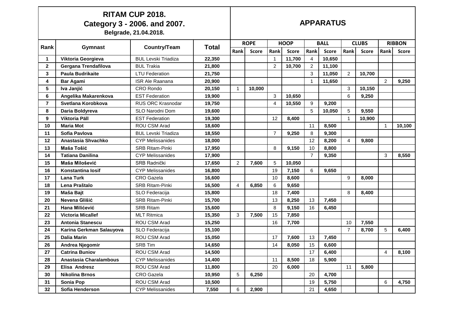|                 | <b>RITAM CUP 2018.</b><br>Category 3 - 2006. and 2007.<br>Belgrade, 21.04.2018. |                            |              |             | <b>APPARATUS</b> |                |              |                |              |                |              |                         |               |
|-----------------|---------------------------------------------------------------------------------|----------------------------|--------------|-------------|------------------|----------------|--------------|----------------|--------------|----------------|--------------|-------------------------|---------------|
| Rank            | Gymnast                                                                         | Country/Team               | <b>Total</b> | <b>ROPE</b> |                  | <b>HOOP</b>    |              | <b>BALL</b>    |              | <b>CLUBS</b>   |              |                         | <b>RIBBON</b> |
|                 |                                                                                 |                            |              | Rank        | <b>Score</b>     | Rank           | <b>Score</b> | Rank           | <b>Score</b> | Rank           | <b>Score</b> | Rank                    | <b>Score</b>  |
| $\mathbf 1$     | Viktoria Georgieva                                                              | <b>BUL Levski Triadiza</b> | 22,350       |             |                  | $\mathbf 1$    | 11,700       | 4              | 10,650       |                |              |                         |               |
| $\mathbf{2}$    | Gergana Trendafilova                                                            | <b>BUL Trakia</b>          | 21,800       |             |                  | $\overline{c}$ | 10,700       | $\overline{2}$ | 11,100       |                |              |                         |               |
| 3               | <b>Paula Budrikaite</b>                                                         | <b>LTU Federation</b>      | 21,750       |             |                  |                |              | 3              | 11,050       | $\overline{2}$ | 10,700       |                         |               |
| 4               | <b>Bar Agami</b>                                                                | <b>ISR Ale Raanana</b>     | 20,900       |             |                  |                |              | $\mathbf{1}$   | 11,650       |                |              | $\overline{2}$          | 9,250         |
| 5               | Iva Janjić                                                                      | CRO Rondo                  | 20,150       |             | 10,000           |                |              |                |              | 3              | 10,150       |                         |               |
| 6               | Angelika Makarenkova                                                            | <b>EST Federation</b>      | 19,900       |             |                  | 3              | 10,650       |                |              | 6              | 9,250        |                         |               |
| $\overline{7}$  | Svetlana Korobkova                                                              | <b>RUS ORC Krasnodar</b>   | 19,750       |             |                  | $\overline{4}$ | 10,550       | 9              | 9,200        |                |              |                         |               |
| 8               | Daria Boldyreva                                                                 | SLO Narodni Dom            | 19,600       |             |                  |                |              | 5              | 10,050       | 5              | 9,550        |                         |               |
| 9               | <b>Viktoria Päll</b>                                                            | <b>EST Federation</b>      | 19,300       |             |                  | 12             | 8,400        |                |              |                | 10,900       |                         |               |
| 10              | <b>Maria Mot</b>                                                                | ROU CSM Arad               | 18,600       |             |                  |                |              | 11             | 8,500        |                |              |                         | 10,100        |
| 11              | Sofia Pavlova                                                                   | <b>BUL Levski Triadiza</b> | 18,550       |             |                  | $\overline{7}$ | 9,250        | 8              | 9,300        |                |              |                         |               |
| 12              | Anastasia Shvachko                                                              | <b>CYP Melissanides</b>    | 18,000       |             |                  |                |              | 12             | 8,200        | 4              | 9,800        |                         |               |
| 13              | Maša Tošić                                                                      | <b>SRB Ritam-Pinki</b>     | 17,950       |             |                  | 8              | 9,150        | 10             | 8,800        |                |              |                         |               |
| 14              | <b>Tatiana Danilina</b>                                                         | <b>CYP Melissanides</b>    | 17,900       |             |                  |                |              | $\overline{7}$ | 9,350        |                |              | 3                       | 8,550         |
| 15              | Maša Milošević                                                                  | SRB Radnički               | 17,650       | 2           | 7,600            | 5              | 10,050       |                |              |                |              |                         |               |
| 16              | Konstantina losif                                                               | <b>CYP Melissanides</b>    | 16,800       |             |                  | 19             | 7,150        | 6              | 9,650        |                |              |                         |               |
| 17              | <b>Lana Turk</b>                                                                | <b>CRO</b> Gazela          | 16,600       |             |                  | 10             | 8,600        |                |              | 9              | 8,000        |                         |               |
| 18              | Lena Praštalo                                                                   | <b>SRB Ritam-Pinki</b>     | 16,500       | 4           | 6,850            | 6              | 9,650        |                |              |                |              |                         |               |
| 19              | Maša Bajt                                                                       | SLO Federacija             | 15,800       |             |                  | 18             | 7,400        |                |              | 8              | 8,400        |                         |               |
| 20              | Nevena Glišić                                                                   | <b>SRB Ritam-Pinki</b>     | 15,700       |             |                  | 13             | 8,250        | 13             | 7,450        |                |              |                         |               |
| 21              | Hana Milićević                                                                  | <b>SRB Ritam</b>           | 15,600       |             |                  | 8              | 9,150        | 16             | 6,450        |                |              |                         |               |
| 22              | <b>Victoria Micallef</b>                                                        | <b>MLT Ritmica</b>         | 15,350       | 3           | 7,500            | 15             | 7,850        |                |              |                |              |                         |               |
| 23              | <b>Antonia Stanescu</b>                                                         | ROU CSM Arad               | 15,250       |             |                  | 16             | 7,700        |                |              | 10             | 7,550        |                         |               |
| 24              | Karina Gerkman Salauyova                                                        | SLO Federacija             | 15,100       |             |                  |                |              |                |              | 7              | 8,700        | 5                       | 6,400         |
| 25              | <b>Dalia Marin</b>                                                              | ROU CSM Arad               | 15,050       |             |                  | 17             | 7,600        | 13             | 7,450        |                |              |                         |               |
| 26              | Andrea Njegomir                                                                 | <b>SRB Tim</b>             | 14,650       |             |                  | 14             | 8,050        | 15             | 6,600        |                |              |                         |               |
| ${\bf 27}$      | <b>Catrina Buniov</b>                                                           | ROU CSM Arad               | 14,500       |             |                  |                |              | 17             | 6,400        |                |              | $\overline{\mathbf{4}}$ | 8,100         |
| 28              | Anastasia Charalambous                                                          | <b>CYP Melissanides</b>    | 14,400       |             |                  | 11             | 8,500        | 18             | 5,900        |                |              |                         |               |
| 29              | Elisa Andresz                                                                   | ROU CSM Arad               | 11,800       |             |                  | 20             | 6,000        |                |              | 11             | 5,800        |                         |               |
| 30              | <b>Nikolina Brnos</b>                                                           | <b>CRO</b> Gazela          | 10,950       | 5           | 6,250            |                |              | 20             | 4,700        |                |              |                         |               |
| 31              | Sonia Pop                                                                       | ROU CSM Arad               | 10,500       |             |                  |                |              | 19             | 5,750        |                |              | 6                       | 4,750         |
| 32 <sub>2</sub> | Sofia Henderson                                                                 | <b>CYP Melissanides</b>    | 7,550        | 6           | 2,900            |                |              | 21             | 4,650        |                |              |                         |               |

Τ

 $\Gamma$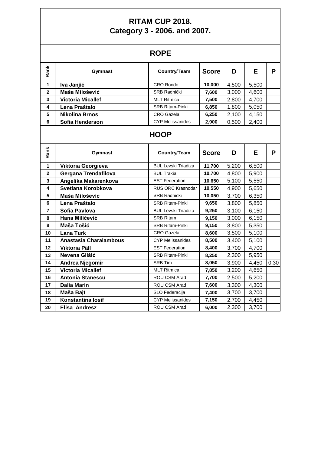#### **RITAM CUP 2018. Category 3 - 2006. and 2007.**

|                         |                          | <b>ROPE</b>                |              |       |       |      |
|-------------------------|--------------------------|----------------------------|--------------|-------|-------|------|
| Rank                    | Gymnast                  | Country/Team               | <b>Score</b> | D     | E.    | P    |
| $\mathbf{1}$            | Iva Janjić               | CRO Rondo                  | 10,000       | 4,500 | 5,500 |      |
| $\overline{\mathbf{2}}$ | Maša Milošević           | SRB Radnički               | 7,600        | 3,000 | 4,600 |      |
| 3                       | <b>Victoria Micallef</b> | <b>MLT Ritmica</b>         | 7,500        | 2,800 | 4,700 |      |
| 4                       | Lena Praštalo            | <b>SRB Ritam-Pinki</b>     | 6,850        | 1,800 | 5,050 |      |
| 5                       | <b>Nikolina Brnos</b>    | <b>CRO</b> Gazela          | 6,250        | 2,100 | 4,150 |      |
| 6                       | Sofia Henderson          | <b>CYP Melissanides</b>    | 2,900        | 0,500 | 2,400 |      |
|                         |                          | <b>HOOP</b>                |              |       |       |      |
| Rank                    | Gymnast                  | Country/Team               | <b>Score</b> | D     | E     | P    |
| 1                       | Viktoria Georgieva       | <b>BUL Levski Triadiza</b> | 11,700       | 5,200 | 6,500 |      |
| $\overline{\mathbf{2}}$ | Gergana Trendafilova     | <b>BUL Trakia</b>          | 10,700       | 4,800 | 5,900 |      |
| 3                       | Angelika Makarenkova     | <b>EST Federation</b>      | 10,650       | 5,100 | 5,550 |      |
| 4                       | Svetlana Korobkova       | <b>RUS ORC Krasnodar</b>   | 10,550       | 4,900 | 5,650 |      |
| 5                       | Maša Milošević           | <b>SRB Radnički</b>        | 10,050       | 3,700 | 6,350 |      |
| 6                       | Lena Praštalo            | <b>SRB Ritam-Pinki</b>     | 9,650        | 3,800 | 5,850 |      |
| $\overline{7}$          | Sofia Pavlova            | <b>BUL Levski Triadiza</b> | 9,250        | 3,100 | 6,150 |      |
| 8                       | Hana Milićević           | <b>SRB Ritam</b>           | 9,150        | 3,000 | 6,150 |      |
| 8                       | Maša Tošić               | <b>SRB Ritam-Pinki</b>     | 9,150        | 3,800 | 5,350 |      |
| 10                      | <b>Lana Turk</b>         | <b>CRO</b> Gazela          | 8,600        | 3,500 | 5,100 |      |
| 11                      | Anastasia Charalambous   | <b>CYP Melissanides</b>    | 8,500        | 3,400 | 5,100 |      |
| 12                      | <b>Viktoria Päll</b>     | <b>EST Federation</b>      | 8,400        | 3,700 | 4,700 |      |
| 13                      | Nevena Glišić            | <b>SRB Ritam-Pinki</b>     | 8,250        | 2,300 | 5,950 |      |
| 14                      | Andrea Njegomir          | <b>SRB Tim</b>             | 8,050        | 3,900 | 4,450 | 0,30 |
| 15                      | <b>Victoria Micallef</b> | <b>MLT Ritmica</b>         | 7,850        | 3,200 | 4,650 |      |
| 16                      | <b>Antonia Stanescu</b>  | ROU CSM Arad               | 7,700        | 2,500 | 5,200 |      |
| 17                      | <b>Dalia Marin</b>       | ROU CSM Arad               | 7,600        | 3,300 | 4,300 |      |
| 18                      | Maša Bajt                | SLO Federacija             | 7,400        | 3,700 | 3,700 |      |
| 19                      | Konstantina losif        | <b>CYP Melissanides</b>    | 7,150        | 2,700 | 4,450 |      |
| 20                      | Elisa Andresz            | ROU CSM Arad               | 6,000        | 2,300 | 3,700 |      |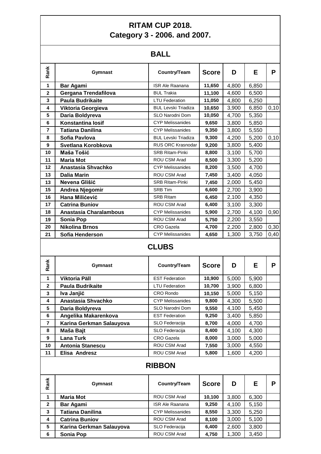#### **RITAM CUP 2018. Category 3 - 2006. and 2007.**

#### **BALL**

|                         |                               | BALL                         |              |       |       |      |
|-------------------------|-------------------------------|------------------------------|--------------|-------|-------|------|
| Rank                    | Gymnast                       | Country/Team                 | <b>Score</b> | D     | E.    | P    |
| $\mathbf{1}$            | <b>Bar Agami</b>              | ISR Ale Raanana              | 11,650       | 4,800 | 6,850 |      |
| $\mathbf{2}$            | Gergana Trendafilova          | <b>BUL Trakia</b>            | 11,100       | 4,600 | 6,500 |      |
| 3                       | <b>Paula Budrikaite</b>       | <b>LTU Federation</b>        | 11,050       | 4,800 | 6,250 |      |
| 4                       | Viktoria Georgieva            | <b>BUL Levski Triadiza</b>   | 10,650       | 3,900 | 6,850 | 0,10 |
| $5\phantom{a}$          | Daria Boldyreva               | SLO Narodni Dom              | 10,050       | 4,700 | 5,350 |      |
| 6                       | <b>Konstantina losif</b>      | <b>CYP Melissanides</b>      | 9,650        | 3,800 | 5,850 |      |
| $\overline{7}$          | <b>Tatiana Danilina</b>       | <b>CYP Melissanides</b>      | 9,350        | 3,800 | 5,550 |      |
| 8                       | Sofia Pavlova                 | <b>BUL Levski Triadiza</b>   | 9,300        | 4,200 | 5,200 | 0,10 |
| 9                       | Svetlana Korobkova            | RUS ORC Krasnodar            | 9,200        | 3,800 | 5,400 |      |
| 10                      | Maša Tošić                    | <b>SRB Ritam-Pinki</b>       | 8,800        | 3,100 | 5,700 |      |
| 11                      | <b>Maria Mot</b>              | ROU CSM Arad                 | 8,500        | 3,300 | 5,200 |      |
| 12                      | Anastasia Shvachko            | <b>CYP Melissanides</b>      | 8,200        | 3,500 | 4,700 |      |
| 13                      | <b>Dalia Marin</b>            | <b>ROU CSM Arad</b>          | 7,450        | 3,400 | 4,050 |      |
| 13                      | Nevena Glišić                 | <b>SRB Ritam-Pinki</b>       | 7,450        | 2,000 | 5,450 |      |
| 15                      | Andrea Njegomir               | <b>SRB Tim</b>               | 6,600        | 2,700 | 3,900 |      |
| 16                      | Hana Milićević                | <b>SRB Ritam</b>             | 6,450        | 2,100 | 4,350 |      |
| 17                      | <b>Catrina Buniov</b>         | ROU CSM Arad                 | 6,400        | 3,100 | 3,300 |      |
| 18                      | <b>Anastasia Charalambous</b> | <b>CYP Melissanides</b>      | 5,900        | 2,700 | 4,100 | 0,90 |
| 19                      | <b>Sonia Pop</b>              | ROU CSM Arad                 | 5,750        | 2,200 | 3,550 |      |
| 20                      | <b>Nikolina Brnos</b>         | <b>CRO</b> Gazela            | 4,700        | 2,200 | 2,800 | 0,30 |
| 21                      | Sofia Henderson               | <b>CYP Melissanides</b>      | 4,650        | 1,300 | 3,750 | 0,40 |
| Rank                    | <b>Gymnast</b>                | <b>CLUBS</b><br>Country/Team | <b>Score</b> | D     | Е     | P    |
|                         |                               |                              |              |       |       |      |
| 1                       | <b>Viktoria Päll</b>          | <b>EST Federation</b>        | 10,900       | 5,000 | 5,900 |      |
| $\mathbf{2}$            | <b>Paula Budrikaite</b>       | <b>LTU Federation</b>        | 10,700       | 3,900 | 6,800 |      |
| 3                       | Iva Janjić                    | <b>CRO Rondo</b>             | 10,150       | 5,000 | 5,150 |      |
| 4                       | Anastasia Shvachko            | <b>CYP Melissanides</b>      | 9,800        | 4,300 | 5,500 |      |
| 5                       | Daria Boldyreva               | SLO Narodni Dom              | 9,550        | 4,100 | 5,450 |      |
| 6                       | Angelika Makarenkova          | <b>EST Federation</b>        | 9,250        | 3,400 | 5,850 |      |
| $\overline{\mathbf{r}}$ | Karina Gerkman Salauyova      | SLO Federacija               | 8,700        | 4,000 | 4,700 |      |
| 8                       | Maša Bajt                     | SLO Federacija               | 8,400        | 4,100 | 4,300 |      |
| 9                       | Lana Turk                     | CRO Gazela                   | 8,000        | 3,000 | 5,000 |      |
| 10                      | <b>Antonia Stanescu</b>       | ROU CSM Arad                 | 7,550        | 3,000 | 4,550 |      |
| 11                      | Elisa Andresz                 | ROU CSM Arad                 | 5,800        | 1,600 | 4,200 |      |
|                         |                               | <b>RIBBON</b>                |              |       |       |      |
| Rank                    | Gymnast                       | Country/Team                 | <b>Score</b> | D     | Е     | P.   |
| $\mathbf{1}$            | <b>Maria Mot</b>              | ROU CSM Arad                 | 10,100       | 3,800 | 6,300 |      |
| $\overline{2}$          | Bar Agami                     | <b>ISR Ale Raanana</b>       | 9,250        | 4,100 | 5,150 |      |

 **Tatiana Danilina** CYP Melissanides **8,550** 3,300 5,250 **Catrina Buniov ROU CSM Arad 8,100** 3,000 5,100 **Karina Gerkman Salauyova** SLO Federacija **6,400** 2,600 3,800 **Sonia Pop** ROU CSM Arad **4,750** 1,300 3,450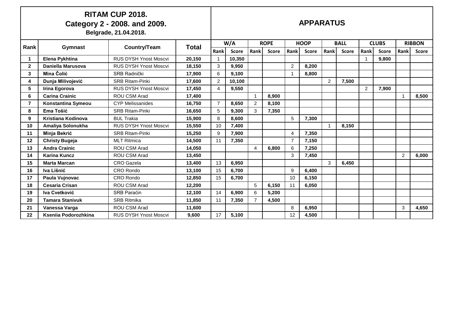#### **RITAM CUP 2018. Category 2 - 2008. and 2009. Belgrade, 21.04.2018.**

**APPARATUS**

| Rank         | <b>Gymnast</b>         | Country/Team                 | Total  |                | W/A          |                | <b>ROPE</b>  | <b>HOOP</b>    |              | <b>BALL</b>    |              |               | <b>CLUBS</b> |                | <b>RIBBON</b> |
|--------------|------------------------|------------------------------|--------|----------------|--------------|----------------|--------------|----------------|--------------|----------------|--------------|---------------|--------------|----------------|---------------|
|              |                        |                              |        | Rank           | <b>Score</b> | Rank           | <b>Score</b> | Rank           | <b>Score</b> | Rank           | <b>Score</b> | Rank          | <b>Score</b> | Rank           | <b>Score</b>  |
|              | Elena Pykhtina         | <b>RUS DYSH Ynost Moscvi</b> | 20,150 |                | 10,350       |                |              |                |              |                |              |               | 9,800        |                |               |
| $\mathbf{2}$ | Daniella Marusova      | <b>RUS DYSH Ynost Moscvi</b> | 18,150 | 3              | 9,950        |                |              | $\overline{2}$ | 8,200        |                |              |               |              |                |               |
| 3            | Mina Čolić             | <b>SRB Radnički</b>          | 17,900 | 6              | 9,100        |                |              |                | 8,800        |                |              |               |              |                |               |
| 4            | Dunja Milivojević      | <b>SRB Ritam-Pinki</b>       | 17,600 | $\overline{2}$ | 10,100       |                |              |                |              | $\overline{2}$ | 7,500        |               |              |                |               |
| 5            | Irina Egorova          | RUS DYSH Ynost Moscvi        | 17,450 | 4              | 9,550        |                |              |                |              |                |              | $\mathcal{P}$ | 7,900        |                |               |
| 6            | <b>Carina Crainic</b>  | <b>ROU CSM Arad</b>          | 17,400 |                |              | $\overline{1}$ | 8,900        |                |              |                |              |               |              |                | 8,500         |
| 7            | Konstantina Symeou     | <b>CYP Melissanides</b>      | 16.750 | $\overline{7}$ | 8.650        | 2              | 8.100        |                |              |                |              |               |              |                |               |
| 8            | Ema Tošić              | <b>SRB Ritam-Pinki</b>       | 16,650 | 5              | 9,300        | 3              | 7,350        |                |              |                |              |               |              |                |               |
| 9            | Kristiana Kodinova     | <b>BUL Trakia</b>            | 15,900 | 8              | 8.600        |                |              | 5              | 7,300        |                |              |               |              |                |               |
| 10           | Amaliya Solonukha      | <b>RUS DYSH Ynost Moscvi</b> | 15,550 | 10             | 7,400        |                |              |                |              |                | 8,150        |               |              |                |               |
| 11           | Minja Bekrić           | <b>SRB Ritam-Pinki</b>       | 15,250 | 9              | 7,900        |                |              | 4              | 7,350        |                |              |               |              |                |               |
| 12           | <b>Christy Bugeja</b>  | <b>MLT Ritmica</b>           | 14,500 | 11             | 7,350        |                |              | $\overline{7}$ | 7,150        |                |              |               |              |                |               |
| 13           | <b>Andra Crainic</b>   | <b>ROU CSM Arad</b>          | 14,050 |                |              | $\overline{4}$ | 6,800        | 6              | 7,250        |                |              |               |              |                |               |
| 14           | <b>Karina Kuncz</b>    | <b>ROU CSM Arad</b>          | 13,450 |                |              |                |              | 3              | 7,450        |                |              |               |              | $\overline{2}$ | 6,000         |
| 15           | <b>Marta Marcan</b>    | <b>CRO</b> Gazela            | 13,400 | 13             | 6,950        |                |              |                |              | 3              | 6,450        |               |              |                |               |
| 16           | Iva Lišnić             | <b>CRO Rondo</b>             | 13,100 | 15             | 6,700        |                |              | 9              | 6,400        |                |              |               |              |                |               |
| 17           | Paula Vujnovac         | <b>CRO</b> Rondo             | 12,850 | 15             | 6,700        |                |              | 10             | 6,150        |                |              |               |              |                |               |
| 18           | <b>Cesaria Crisan</b>  | <b>ROU CSM Arad</b>          | 12,200 |                |              | 5              | 6,150        | 11             | 6,050        |                |              |               |              |                |               |
| 19           | Iva Cvetković          | <b>SRB Paracin</b>           | 12,100 | 14             | 6,900        | 6              | 5,200        |                |              |                |              |               |              |                |               |
| 20           | <b>Tamara Stanivuk</b> | <b>SRB Ritmika</b>           | 11,850 | 11             | 7,350        | $\overline{7}$ | 4,500        |                |              |                |              |               |              |                |               |
| 21           | Vanessa Varga          | <b>ROU CSM Arad</b>          | 11,600 |                |              |                |              | 8              | 6,950        |                |              |               |              | 3              | 4,650         |
| 22           | Kseniia Podorozhkina   | <b>RUS DYSH Ynost Moscvi</b> | 9,600  | 17             | 5,100        |                |              | 12             | 4,500        |                |              |               |              |                |               |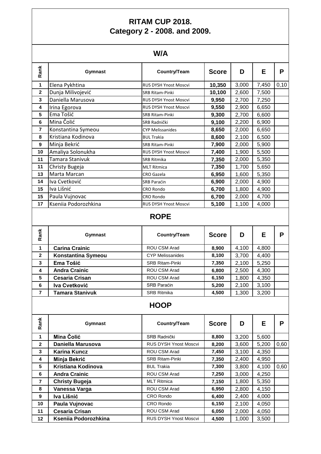## **RITAM CUP 2018. Category 2 - 2008. and 2009.**

## **W/A**

| Rank           | Gymnast              | <b>Country/Team</b>          | <b>Score</b> | D     | Е     | P    |
|----------------|----------------------|------------------------------|--------------|-------|-------|------|
| 1              | Elena Pykhtina       | <b>RUS DYSH Ynost Moscvi</b> | 10,350       | 3,000 | 7,450 | 0,10 |
| $\mathbf{2}$   | Dunja Milivojević    | <b>SRB Ritam-Pinki</b>       | 10,100       | 2,600 | 7,500 |      |
| 3              | Daniella Marusova    | <b>RUS DYSH Ynost Moscvi</b> | 9,950        | 2,700 | 7,250 |      |
| 4              | Irina Egorova        | <b>RUS DYSH Ynost Moscvi</b> | 9,550        | 2,900 | 6,650 |      |
| 5              | Ema Tošić            | <b>SRB Ritam-Pinki</b>       | 9,300        | 2,700 | 6,600 |      |
| 6              | Mina Čolić           | SRB Radnički                 | 9,100        | 2,200 | 6,900 |      |
| $\overline{7}$ | Konstantina Symeou   | <b>CYP Melissanides</b>      | 8,650        | 2,000 | 6,650 |      |
| 8              | Kristiana Kodinova   | <b>BUL Trakia</b>            | 8,600        | 2,100 | 6,500 |      |
| 9              | Minja Bekrić         | <b>SRB Ritam-Pinki</b>       | 7,900        | 2,000 | 5,900 |      |
| 10             | Amaliya Solonukha    | <b>RUS DYSH Ynost Moscvi</b> | 7,400        | 1,900 | 5,500 |      |
| 11             | Tamara Stanivuk      | <b>SRB Ritmika</b>           | 7,350        | 2,000 | 5,350 |      |
| 11             | Christy Bugeja       | <b>MLT Ritmica</b>           | 7,350        | 1,700 | 5,650 |      |
| 13             | Marta Marcan         | <b>CRO</b> Gazela            | 6,950        | 1,600 | 5,350 |      |
| 14             | Iva Cvetković        | <b>SRB Paraćin</b>           | 6,900        | 2,000 | 4,900 |      |
| 15             | Iva Lišnić           | <b>CRO Rondo</b>             | 6,700        | 1,800 | 4,900 |      |
| 15             | Paula Vujnovac       | <b>CRO Rondo</b>             | 6,700        | 2,000 | 4,700 |      |
| 17             | Kseniia Podorozhkina | <b>RUS DYSH Ynost Moscvi</b> | 5,100        | 1,100 | 4,000 |      |
|                |                      |                              |              |       |       |      |

#### **ROPE**

| Rank           | Gymnast                | Country/Team            | <b>Score</b> | D     | Е     | Р |
|----------------|------------------------|-------------------------|--------------|-------|-------|---|
|                | <b>Carina Crainic</b>  | ROU CSM Arad            | 8,900        | 4,100 | 4,800 |   |
| $\mathbf{2}$   | Konstantina Symeou     | <b>CYP Melissanides</b> | 8,100        | 3,700 | 4,400 |   |
| 3              | Ema Tošić              | <b>SRB Ritam-Pinki</b>  | 7,350        | 2,100 | 5,250 |   |
| 4              | <b>Andra Crainic</b>   | ROU CSM Arad            | 6,800        | 2,500 | 4,300 |   |
| 5              | <b>Cesaria Crisan</b>  | ROU CSM Arad            | 6,150        | 1,800 | 4,350 |   |
| 6              | Iva Cvetković          | <b>SRB Paracin</b>      | 5,200        | 2,100 | 3,100 |   |
| $\overline{7}$ | <b>Tamara Stanivuk</b> | <b>SRB Ritmika</b>      | 4,500        | 1,300 | 3,200 |   |

## **HOOP**

| Rank           | <b>Gymnast</b>         | Country/Team                 | <b>Score</b> | D     | E     | P    |  |  |
|----------------|------------------------|------------------------------|--------------|-------|-------|------|--|--|
| $\mathbf{1}$   | <b>Carina Crainic</b>  | ROU CSM Arad                 | 8,900        | 4,100 | 4,800 |      |  |  |
| $\mathbf{2}$   | Konstantina Symeou     | <b>CYP Melissanides</b>      | 8,100        | 3,700 | 4,400 |      |  |  |
| 3              | Ema Tošić              | <b>SRB Ritam-Pinki</b>       | 7,350        | 2,100 | 5,250 |      |  |  |
| 4              | <b>Andra Crainic</b>   | ROU CSM Arad                 | 6,800        | 2,500 | 4,300 |      |  |  |
| 5              | <b>Cesaria Crisan</b>  | <b>ROU CSM Arad</b>          | 6,150        | 1,800 | 4,350 |      |  |  |
| 6              | Iva Cvetković          | SRB Paraćin                  | 5,200        | 2,100 | 3,100 |      |  |  |
| $\overline{7}$ | <b>Tamara Stanivuk</b> | <b>SRB Ritmika</b>           | 4,500        | 1,300 | 3,200 |      |  |  |
| <b>HOOP</b>    |                        |                              |              |       |       |      |  |  |
| Rank           | <b>Gymnast</b>         | <b>Country/Team</b>          | <b>Score</b> | D     | E     | P    |  |  |
| 1              | Mina Čolić             | SRB Radnički                 | 8,800        | 3,200 | 5,600 |      |  |  |
| $\mathbf{2}$   | Daniella Marusova      | <b>RUS DYSH Ynost Moscvi</b> | 8,200        | 3,600 | 5,200 | 0,60 |  |  |
| 3              | <b>Karina Kuncz</b>    | <b>ROU CSM Arad</b>          | 7,450        | 3,100 | 4,350 |      |  |  |
| 4              | Minja Bekrić           | <b>SRB Ritam-Pinki</b>       |              |       | 4,950 |      |  |  |
| 5              |                        |                              | 7,350        | 2,400 |       |      |  |  |
| 6              | Kristiana Kodinova     | <b>BUL Trakia</b>            | 7,300        | 3,800 | 4,100 | 0,60 |  |  |
|                | <b>Andra Crainic</b>   | <b>ROU CSM Arad</b>          | 7,250        | 3,000 | 4,250 |      |  |  |
| $\overline{7}$ | <b>Christy Bugeja</b>  | <b>MLT Ritmica</b>           | 7,150        | 1,800 | 5,350 |      |  |  |
| 8              | Vanessa Varga          | ROU CSM Arad                 | 6,950        | 2,800 | 4,150 |      |  |  |
| 9              | Iva Lišnić             | CRO Rondo                    | 6,400        | 2,400 | 4,000 |      |  |  |
| 10             | Paula Vujnovac         | CRO Rondo                    | 6,150        | 2,100 | 4,050 |      |  |  |
| 11             | <b>Cesaria Crisan</b>  | <b>ROU CSM Arad</b>          | 6,050        | 2,000 | 4,050 |      |  |  |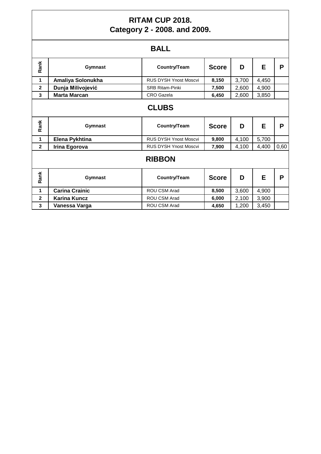## **RITAM CUP 2018. Category 2 - 2008. and 2009.**

|--|

|              |                       | ◡┌┕                          |              |       |       |      |  |  |
|--------------|-----------------------|------------------------------|--------------|-------|-------|------|--|--|
| Rank         | Gymnast               | Country/Team                 | <b>Score</b> | D     | E     | P    |  |  |
| $\mathbf{1}$ | Amaliya Solonukha     | <b>RUS DYSH Ynost Moscvi</b> | 8,150        | 3,700 | 4,450 |      |  |  |
| $\mathbf{2}$ | Dunja Milivojević     | <b>SRB Ritam-Pinki</b>       | 7,500        | 2,600 | 4,900 |      |  |  |
| 3            | <b>Marta Marcan</b>   | <b>CRO</b> Gazela            | 6,450        | 2,600 | 3,850 |      |  |  |
| <b>CLUBS</b> |                       |                              |              |       |       |      |  |  |
| Rank         | Gymnast               | Country/Team                 | <b>Score</b> | D     | E     | P    |  |  |
| 1            | Elena Pykhtina        | <b>RUS DYSH Ynost Moscvi</b> | 9,800        | 4,100 | 5,700 |      |  |  |
| $\mathbf{2}$ | Irina Egorova         | <b>RUS DYSH Ynost Moscvi</b> | 7,900        | 4,100 | 4,400 | 0,60 |  |  |
|              | <b>RIBBON</b>         |                              |              |       |       |      |  |  |
| Rank         | Gymnast               | Country/Team                 | <b>Score</b> | D     | E     | P    |  |  |
| 1            | <b>Carina Crainic</b> | ROU CSM Arad                 | 8,500        | 3,600 | 4,900 |      |  |  |
| $\mathbf{2}$ | <b>Karina Kuncz</b>   | ROU CSM Arad                 | 6,000        | 2,100 | 3,900 |      |  |  |
| 3            | Vanessa Varga         | ROU CSM Arad                 | 4,650        | 1,200 | 3,450 |      |  |  |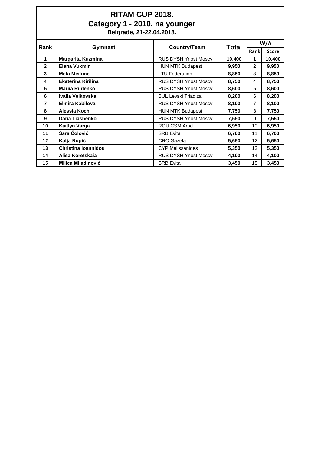| RITAM CUP 2018.<br>Category 1 - 2010. na younger<br>Belgrade, 21-22.04.2018. |                            |                              |              |               |              |
|------------------------------------------------------------------------------|----------------------------|------------------------------|--------------|---------------|--------------|
| Rank                                                                         |                            | W/A                          |              |               |              |
|                                                                              | Gymnast                    | Country/Team                 | <b>Total</b> | Rank          | <b>Score</b> |
| 1                                                                            | <b>Margarita Kuzmina</b>   | <b>RUS DYSH Ynost Moscvi</b> | 10,400       | 1             | 10,400       |
| $\mathbf{2}$                                                                 | Elena Vukmir               | <b>HUN MTK Budapest</b>      | 9,950        | $\mathcal{P}$ | 9,950        |
| 3                                                                            | <b>Meta Meilune</b>        | <b>LTU Federation</b>        | 8,850        | 3             | 8,850        |
| 4                                                                            | <b>Ekaterina Kirilina</b>  | <b>RUS DYSH Ynost Moscvi</b> | 8,750        | 4             | 8,750        |
| 5                                                                            | <b>Marija Rudenko</b>      | <b>RUS DYSH Ynost Moscvi</b> | 8,600        | 5             | 8,600        |
| 6                                                                            | Ivaila Velkovska           | <b>BUL Levski Triadiza</b>   | 8,200        | 6             | 8,200        |
| 7                                                                            | Elmira Kabilova            | <b>RUS DYSH Ynost Moscvi</b> | 8,100        | 7             | 8,100        |
| 8                                                                            | Alessia Koch               | <b>HUN MTK Budapest</b>      | 7,750        | 8             | 7,750        |
| 9                                                                            | Daria Liashenko            | <b>RUS DYSH Ynost Moscvi</b> | 7,550        | 9             | 7,550        |
| 10                                                                           | <b>Kaitlyn Varga</b>       | ROU CSM Arad                 | 6,950        | 10            | 6,950        |
| 11                                                                           | Sara Čolović               | <b>SRB Evita</b>             | 6,700        | 11            | 6,700        |
| 12                                                                           | Katja Rupić                | <b>CRO</b> Gazela            | 5,650        | 12            | 5,650        |
| 13                                                                           | <b>Christina Ioannidou</b> | <b>CYP Melissanides</b>      | 5,350        | 13            | 5,350        |
| 14                                                                           | Alisa Koretskaja           | <b>RUS DYSH Ynost Moscvi</b> | 4,100        | 14            | 4,100        |
| 15                                                                           | <b>Milica Miladinović</b>  | <b>SRB Evita</b>             | 3,450        | 15            | 3,450        |